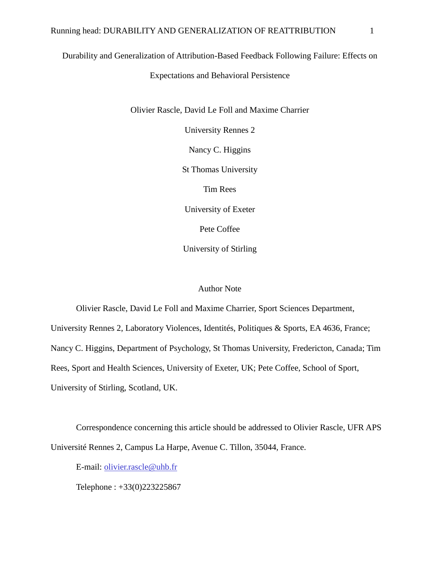## Durability and Generalization of Attribution-Based Feedback Following Failure: Effects on

Expectations and Behavioral Persistence

Olivier Rascle, David Le Foll and Maxime Charrier

University Rennes 2

Nancy C. Higgins

St Thomas University

Tim Rees

University of Exeter

Pete Coffee

University of Stirling

## Author Note

Olivier Rascle, David Le Foll and Maxime Charrier, Sport Sciences Department,

University Rennes 2, Laboratory Violences, Identités, Politiques & Sports, EA 4636, France;

Nancy C. Higgins, Department of Psychology, St Thomas University, Fredericton, Canada; Tim

Rees, Sport and Health Sciences, University of Exeter, UK; Pete Coffee, School of Sport,

University of Stirling, Scotland, UK.

Correspondence concerning this article should be addressed to Olivier Rascle, UFR APS Université Rennes 2, Campus La Harpe, Avenue C. Tillon, 35044, France.

E-mail: [olivier.rascle@uhb.fr](mailto:olivier.rascle@uhb.fr)

Telephone : +33(0)223225867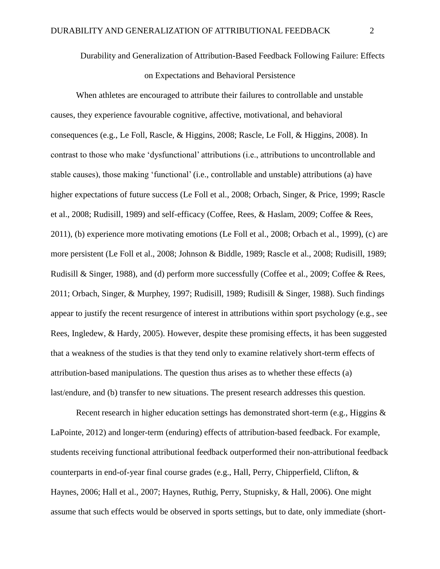Durability and Generalization of Attribution-Based Feedback Following Failure: Effects on Expectations and Behavioral Persistence

When athletes are encouraged to attribute their failures to controllable and unstable causes, they experience favourable cognitive, affective, motivational, and behavioral consequences (e.g., Le Foll, Rascle, & Higgins, 2008; Rascle, Le Foll, & Higgins, 2008). In contrast to those who make 'dysfunctional' attributions (i.e., attributions to uncontrollable and stable causes), those making 'functional' (i.e., controllable and unstable) attributions (a) have higher expectations of future success (Le Foll et al., 2008; Orbach, Singer, & Price, 1999; Rascle et al., 2008; Rudisill, 1989) and self-efficacy (Coffee, Rees, & Haslam, 2009; Coffee & Rees, 2011), (b) experience more motivating emotions (Le Foll et al., 2008; Orbach et al., 1999), (c) are more persistent (Le Foll et al., 2008; Johnson & Biddle, 1989; Rascle et al., 2008; Rudisill, 1989; Rudisill & Singer, 1988), and (d) perform more successfully (Coffee et al., 2009; Coffee & Rees, 2011; Orbach, Singer, & Murphey, 1997; Rudisill, 1989; Rudisill & Singer, 1988). Such findings appear to justify the recent resurgence of interest in attributions within sport psychology (e.g., see Rees, Ingledew, & Hardy, 2005). However, despite these promising effects, it has been suggested that a weakness of the studies is that they tend only to examine relatively short-term effects of attribution-based manipulations. The question thus arises as to whether these effects (a) last/endure, and (b) transfer to new situations. The present research addresses this question.

Recent research in higher education settings has demonstrated short-term (e.g., Higgins  $\&$ LaPointe, 2012) and longer-term (enduring) effects of attribution-based feedback. For example, students receiving functional attributional feedback outperformed their non-attributional feedback counterparts in end-of-year final course grades (e.g., Hall, Perry, Chipperfield, Clifton, & Haynes, 2006; Hall et al., 2007; Haynes, Ruthig, Perry, Stupnisky, & Hall, 2006). One might assume that such effects would be observed in sports settings, but to date, only immediate (short-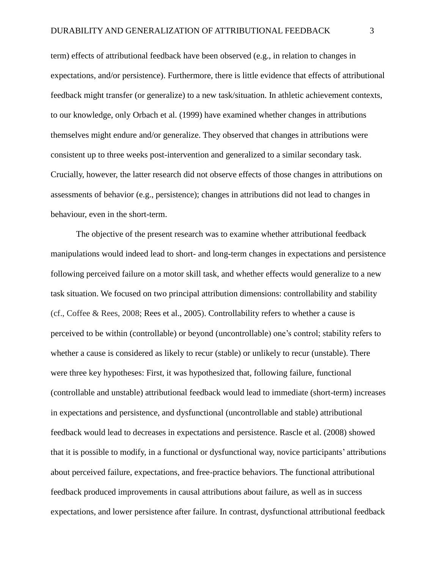term) effects of attributional feedback have been observed (e.g., in relation to changes in expectations, and/or persistence). Furthermore, there is little evidence that effects of attributional feedback might transfer (or generalize) to a new task/situation. In athletic achievement contexts, to our knowledge, only Orbach et al. (1999) have examined whether changes in attributions themselves might endure and/or generalize. They observed that changes in attributions were consistent up to three weeks post-intervention and generalized to a similar secondary task. Crucially, however, the latter research did not observe effects of those changes in attributions on assessments of behavior (e.g., persistence); changes in attributions did not lead to changes in behaviour, even in the short-term.

The objective of the present research was to examine whether attributional feedback manipulations would indeed lead to short- and long-term changes in expectations and persistence following perceived failure on a motor skill task, and whether effects would generalize to a new task situation. We focused on two principal attribution dimensions: controllability and stability (cf., Coffee & Rees, 2008; Rees et al., 2005). Controllability refers to whether a cause is perceived to be within (controllable) or beyond (uncontrollable) one's control; stability refers to whether a cause is considered as likely to recur (stable) or unlikely to recur (unstable). There were three key hypotheses: First, it was hypothesized that, following failure, functional (controllable and unstable) attributional feedback would lead to immediate (short-term) increases in expectations and persistence, and dysfunctional (uncontrollable and stable) attributional feedback would lead to decreases in expectations and persistence. Rascle et al. (2008) showed that it is possible to modify, in a functional or dysfunctional way, novice participants' attributions about perceived failure, expectations, and free-practice behaviors. The functional attributional feedback produced improvements in causal attributions about failure, as well as in success expectations, and lower persistence after failure. In contrast, dysfunctional attributional feedback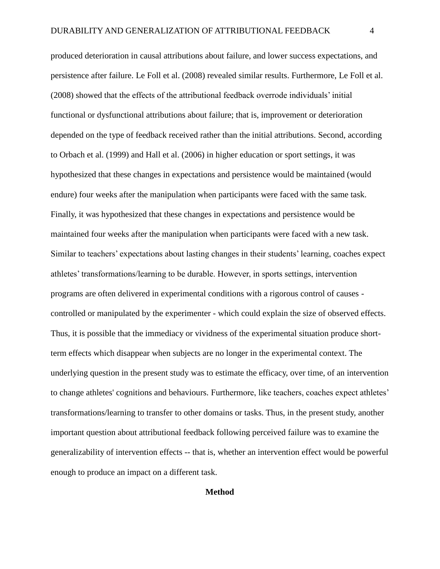produced deterioration in causal attributions about failure, and lower success expectations, and persistence after failure. Le Foll et al. (2008) revealed similar results. Furthermore, Le Foll et al. (2008) showed that the effects of the attributional feedback overrode individuals' initial functional or dysfunctional attributions about failure; that is, improvement or deterioration depended on the type of feedback received rather than the initial attributions. Second, according to Orbach et al. (1999) and Hall et al. (2006) in higher education or sport settings, it was hypothesized that these changes in expectations and persistence would be maintained (would endure) four weeks after the manipulation when participants were faced with the same task. Finally, it was hypothesized that these changes in expectations and persistence would be maintained four weeks after the manipulation when participants were faced with a new task. Similar to teachers' expectations about lasting changes in their students' learning, coaches expect athletes' transformations/learning to be durable. However, in sports settings, intervention programs are often delivered in experimental conditions with a rigorous control of causes controlled or manipulated by the experimenter - which could explain the size of observed effects. Thus, it is possible that the immediacy or vividness of the experimental situation produce shortterm effects which disappear when subjects are no longer in the experimental context. The underlying question in the present study was to estimate the efficacy, over time, of an intervention to change athletes' cognitions and behaviours. Furthermore, like teachers, coaches expect athletes' transformations/learning to transfer to other domains or tasks. Thus, in the present study, another important question about attributional feedback following perceived failure was to examine the generalizability of intervention effects -- that is, whether an intervention effect would be powerful enough to produce an impact on a different task.

### **Method**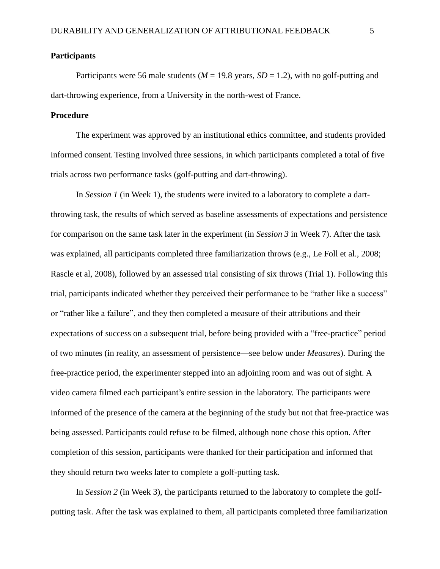## **Participants**

Participants were 56 male students ( $M = 19.8$  years,  $SD = 1.2$ ), with no golf-putting and dart-throwing experience, from a University in the north-west of France.

## **Procedure**

The experiment was approved by an institutional ethics committee, and students provided informed consent. Testing involved three sessions, in which participants completed a total of five trials across two performance tasks (golf-putting and dart-throwing).

In *Session 1* (in Week 1), the students were invited to a laboratory to complete a dartthrowing task, the results of which served as baseline assessments of expectations and persistence for comparison on the same task later in the experiment (in *Session 3* in Week 7). After the task was explained, all participants completed three familiarization throws (e.g., Le Foll et al., 2008; Rascle et al, 2008), followed by an assessed trial consisting of six throws (Trial 1). Following this trial, participants indicated whether they perceived their performance to be "rather like a success" or "rather like a failure", and they then completed a measure of their attributions and their expectations of success on a subsequent trial, before being provided with a "free-practice" period of two minutes (in reality, an assessment of persistence**—**see below under *Measures*). During the free-practice period, the experimenter stepped into an adjoining room and was out of sight. A video camera filmed each participant's entire session in the laboratory. The participants were informed of the presence of the camera at the beginning of the study but not that free-practice was being assessed. Participants could refuse to be filmed, although none chose this option. After completion of this session, participants were thanked for their participation and informed that they should return two weeks later to complete a golf-putting task.

In *Session 2* (in Week 3), the participants returned to the laboratory to complete the golfputting task. After the task was explained to them, all participants completed three familiarization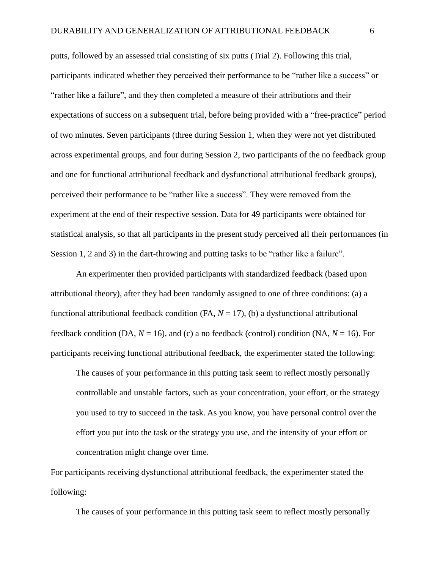putts, followed by an assessed trial consisting of six putts (Trial 2). Following this trial, participants indicated whether they perceived their performance to be "rather like a success" or "rather like a failure", and they then completed a measure of their attributions and their expectations of success on a subsequent trial, before being provided with a "free-practice" period of two minutes. Seven participants (three during Session 1, when they were not yet distributed across experimental groups, and four during Session 2, two participants of the no feedback group and one for functional attributional feedback and dysfunctional attributional feedback groups), perceived their performance to be "rather like a success". They were removed from the experiment at the end of their respective session. Data for 49 participants were obtained for statistical analysis, so that all participants in the present study perceived all their performances (in Session 1, 2 and 3) in the dart-throwing and putting tasks to be "rather like a failure".

An experimenter then provided participants with standardized feedback (based upon attributional theory), after they had been randomly assigned to one of three conditions: (a) a functional attributional feedback condition  $(FA, N = 17)$ , (b) a dysfunctional attributional feedback condition (DA,  $N = 16$ ), and (c) a no feedback (control) condition (NA,  $N = 16$ ). For participants receiving functional attributional feedback, the experimenter stated the following:

The causes of your performance in this putting task seem to reflect mostly personally controllable and unstable factors, such as your concentration, your effort, or the strategy you used to try to succeed in the task. As you know, you have personal control over the effort you put into the task or the strategy you use, and the intensity of your effort or concentration might change over time.

For participants receiving dysfunctional attributional feedback, the experimenter stated the following:

The causes of your performance in this putting task seem to reflect mostly personally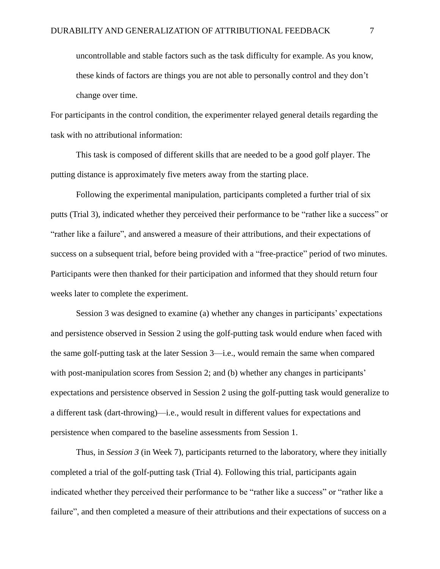uncontrollable and stable factors such as the task difficulty for example. As you know, these kinds of factors are things you are not able to personally control and they don't change over time.

For participants in the control condition, the experimenter relayed general details regarding the task with no attributional information:

This task is composed of different skills that are needed to be a good golf player. The putting distance is approximately five meters away from the starting place.

Following the experimental manipulation, participants completed a further trial of six putts (Trial 3), indicated whether they perceived their performance to be "rather like a success" or "rather like a failure", and answered a measure of their attributions, and their expectations of success on a subsequent trial, before being provided with a "free-practice" period of two minutes. Participants were then thanked for their participation and informed that they should return four weeks later to complete the experiment.

Session 3 was designed to examine (a) whether any changes in participants' expectations and persistence observed in Session 2 using the golf-putting task would endure when faced with the same golf-putting task at the later Session 3—i.e., would remain the same when compared with post-manipulation scores from Session 2; and (b) whether any changes in participants' expectations and persistence observed in Session 2 using the golf-putting task would generalize to a different task (dart-throwing)—i.e., would result in different values for expectations and persistence when compared to the baseline assessments from Session 1.

Thus, in *Session 3* (in Week 7), participants returned to the laboratory, where they initially completed a trial of the golf-putting task (Trial 4). Following this trial, participants again indicated whether they perceived their performance to be "rather like a success" or "rather like a failure", and then completed a measure of their attributions and their expectations of success on a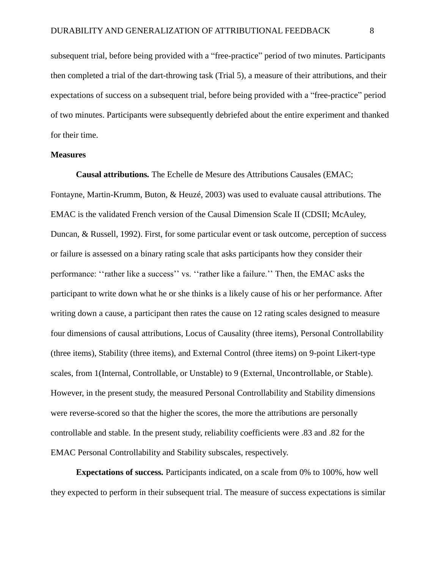subsequent trial, before being provided with a "free-practice" period of two minutes. Participants then completed a trial of the dart-throwing task (Trial 5), a measure of their attributions, and their expectations of success on a subsequent trial, before being provided with a "free-practice" period of two minutes. Participants were subsequently debriefed about the entire experiment and thanked for their time.

### **Measures**

**Causal attributions***.* The Echelle de Mesure des Attributions Causales (EMAC; Fontayne, Martin-Krumm, Buton, & Heuzé, 2003) was used to evaluate causal attributions. The EMAC is the validated French version of the Causal Dimension Scale II (CDSII; McAuley, Duncan, & Russell, 1992). First, for some particular event or task outcome, perception of success or failure is assessed on a binary rating scale that asks participants how they consider their performance: ''rather like a success'' vs. ''rather like a failure.'' Then, the EMAC asks the participant to write down what he or she thinks is a likely cause of his or her performance. After writing down a cause, a participant then rates the cause on 12 rating scales designed to measure four dimensions of causal attributions, Locus of Causality (three items), Personal Controllability (three items), Stability (three items), and External Control (three items) on 9-point Likert-type scales, from 1(Internal, Controllable, or Unstable) to 9 (External, Uncontrollable, or Stable). However, in the present study, the measured Personal Controllability and Stability dimensions were reverse-scored so that the higher the scores, the more the attributions are personally controllable and stable. In the present study, reliability coefficients were .83 and .82 for the EMAC Personal Controllability and Stability subscales, respectively.

**Expectations of success***.* Participants indicated, on a scale from 0% to 100%, how well they expected to perform in their subsequent trial. The measure of success expectations is similar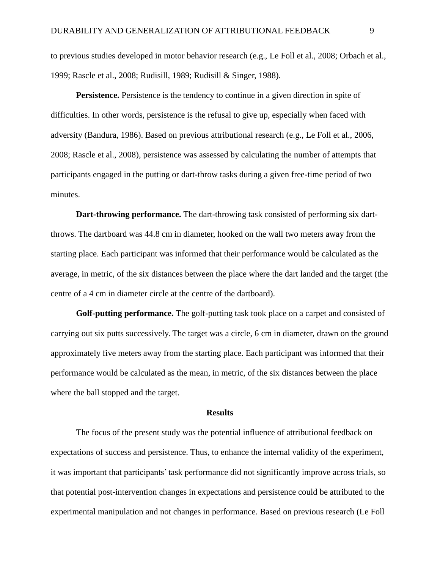to previous studies developed in motor behavior research (e.g., Le Foll et al., 2008; Orbach et al., 1999; Rascle et al., 2008; Rudisill, 1989; Rudisill & Singer, 1988).

**Persistence.** Persistence is the tendency to continue in a given direction in spite of difficulties. In other words, persistence is the refusal to give up, especially when faced with adversity (Bandura, 1986). Based on previous attributional research (e.g., Le Foll et al., 2006, 2008; Rascle et al., 2008), persistence was assessed by calculating the number of attempts that participants engaged in the putting or dart-throw tasks during a given free-time period of two minutes.

**Dart-throwing performance.** The dart-throwing task consisted of performing six dartthrows. The dartboard was 44.8 cm in diameter, hooked on the wall two meters away from the starting place. Each participant was informed that their performance would be calculated as the average, in metric, of the six distances between the place where the dart landed and the target (the centre of a 4 cm in diameter circle at the centre of the dartboard).

**Golf-putting performance.** The golf-putting task took place on a carpet and consisted of carrying out six putts successively. The target was a circle, 6 cm in diameter, drawn on the ground approximately five meters away from the starting place. Each participant was informed that their performance would be calculated as the mean, in metric, of the six distances between the place where the ball stopped and the target.

#### **Results**

The focus of the present study was the potential influence of attributional feedback on expectations of success and persistence. Thus, to enhance the internal validity of the experiment, it was important that participants' task performance did not significantly improve across trials, so that potential post-intervention changes in expectations and persistence could be attributed to the experimental manipulation and not changes in performance. Based on previous research (Le Foll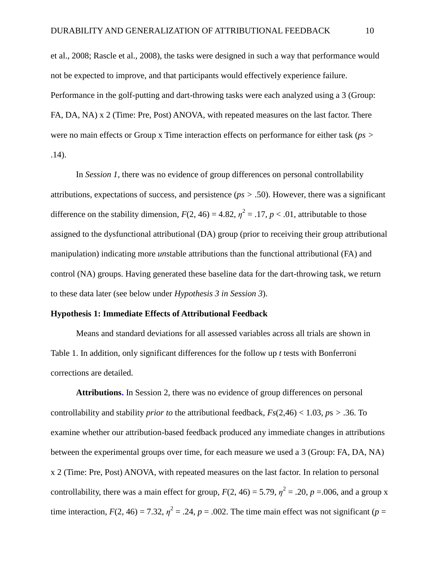et al., 2008; Rascle et al., 2008), the tasks were designed in such a way that performance would not be expected to improve, and that participants would effectively experience failure. Performance in the golf-putting and dart-throwing tasks were each analyzed using a 3 (Group: FA, DA, NA) x 2 (Time: Pre, Post) ANOVA, with repeated measures on the last factor. There were no main effects or Group x Time interaction effects on performance for either task (*ps >* .14).

In *Session 1,* there was no evidence of group differences on personal controllability attributions, expectations of success, and persistence (*ps >* .50). However, there was a significant difference on the stability dimension,  $F(2, 46) = 4.82$ ,  $\eta^2 = .17$ ,  $p < .01$ , attributable to those assigned to the dysfunctional attributional (DA) group (prior to receiving their group attributional manipulation) indicating more *un*stable attributions than the functional attributional (FA) and control (NA) groups. Having generated these baseline data for the dart-throwing task, we return to these data later (see below under *Hypothesis 3 in Session 3*).

### **Hypothesis 1: Immediate Effects of Attributional Feedback**

Means and standard deviations for all assessed variables across all trials are shown in Table 1. In addition, only significant differences for the follow up *t* tests with Bonferroni corrections are detailed.

**Attributions.** In Session 2, there was no evidence of group differences on personal controllability and stability *prior to* the attributional feedback,  $Fs(2,46) < 1.03$ ,  $ps > .36$ . To examine whether our attribution-based feedback produced any immediate changes in attributions between the experimental groups over time, for each measure we used a 3 (Group: FA, DA, NA) x 2 (Time: Pre, Post) ANOVA, with repeated measures on the last factor. In relation to personal controllability, there was a main effect for group,  $F(2, 46) = 5.79$ ,  $\eta^2 = .20$ ,  $p = .006$ , and a group x time interaction,  $F(2, 46) = 7.32$ ,  $\eta^2 = .24$ ,  $p = .002$ . The time main effect was not significant ( $p =$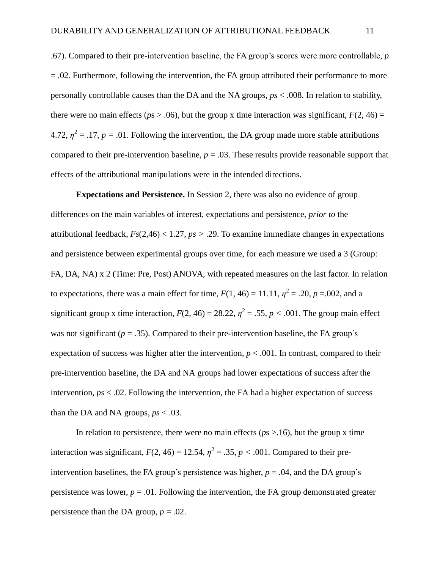.67). Compared to their pre-intervention baseline, the FA group's scores were more controllable, *p*  $= .02$ . Furthermore, following the intervention, the FA group attributed their performance to more personally controllable causes than the DA and the NA groups, *ps* < .008. In relation to stability, there were no main effects ( $p_s > .06$ ), but the group x time interaction was significant,  $F(2, 46) =$ 4.72,  $\eta^2 = 0.17$ ,  $p = 0.01$ . Following the intervention, the DA group made more stable attributions compared to their pre-intervention baseline,  $p = .03$ . These results provide reasonable support that effects of the attributional manipulations were in the intended directions.

**Expectations and Persistence.** In Session 2, there was also no evidence of group differences on the main variables of interest, expectations and persistence, *prior to* the attributional feedback, *Fs*(2,46) < 1.27, *ps >* .29. To examine immediate changes in expectations and persistence between experimental groups over time, for each measure we used a 3 (Group: FA, DA, NA) x 2 (Time: Pre, Post) ANOVA, with repeated measures on the last factor. In relation to expectations, there was a main effect for time,  $F(1, 46) = 11.11$ ,  $\eta^2 = .20$ ,  $p = .002$ , and a significant group x time interaction,  $F(2, 46) = 28.22$ ,  $\eta^2 = .55$ ,  $p < .001$ . The group main effect was not significant ( $p = 0.35$ ). Compared to their pre-intervention baseline, the FA group's expectation of success was higher after the intervention,  $p < .001$ . In contrast, compared to their pre-intervention baseline, the DA and NA groups had lower expectations of success after the intervention, *ps* < .02. Following the intervention, the FA had a higher expectation of success than the DA and NA groups,  $ps < .03$ .

In relation to persistence, there were no main effects ( $p_s$  >.16), but the group x time interaction was significant,  $F(2, 46) = 12.54$ ,  $\eta^2 = .35$ ,  $p < .001$ . Compared to their preintervention baselines, the FA group's persistence was higher,  $p = .04$ , and the DA group's persistence was lower,  $p = 0.01$ . Following the intervention, the FA group demonstrated greater persistence than the DA group,  $p = .02$ .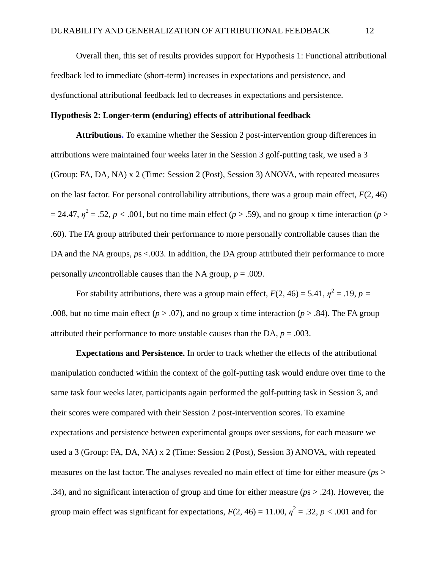Overall then, this set of results provides support for Hypothesis 1: Functional attributional feedback led to immediate (short-term) increases in expectations and persistence, and dysfunctional attributional feedback led to decreases in expectations and persistence.

## **Hypothesis 2: Longer-term (enduring) effects of attributional feedback**

**Attributions.** To examine whether the Session 2 post-intervention group differences in attributions were maintained four weeks later in the Session 3 golf-putting task, we used a 3 (Group: FA, DA, NA) x 2 (Time: Session 2 (Post), Session 3) ANOVA, with repeated measures on the last factor. For personal controllability attributions, there was a group main effect,  $F(2, 46)$  $= 24.47$ ,  $\eta^2 = .52$ ,  $p < .001$ , but no time main effect ( $p > .59$ ), and no group x time interaction ( $p > .001$ .60). The FA group attributed their performance to more personally controllable causes than the DA and the NA groups,  $ps < .003$ . In addition, the DA group attributed their performance to more personally *un*controllable causes than the NA group, *p* = .009.

For stability attributions, there was a group main effect,  $F(2, 46) = 5.41$ ,  $\eta^2 = .19$ ,  $p =$ .008, but no time main effect ( $p > .07$ ), and no group x time interaction ( $p > .84$ ). The FA group attributed their performance to more *un*stable causes than the DA, *p* = .003.

**Expectations and Persistence.** In order to track whether the effects of the attributional manipulation conducted within the context of the golf-putting task would endure over time to the same task four weeks later, participants again performed the golf-putting task in Session 3, and their scores were compared with their Session 2 post-intervention scores. To examine expectations and persistence between experimental groups over sessions, for each measure we used a 3 (Group: FA, DA, NA) x 2 (Time: Session 2 (Post), Session 3) ANOVA, with repeated measures on the last factor. The analyses revealed no main effect of time for either measure (*p*s > .34), and no significant interaction of group and time for either measure (*p*s > .24). However, the group main effect was significant for expectations,  $F(2, 46) = 11.00$ ,  $\eta^2 = .32$ ,  $p < .001$  and for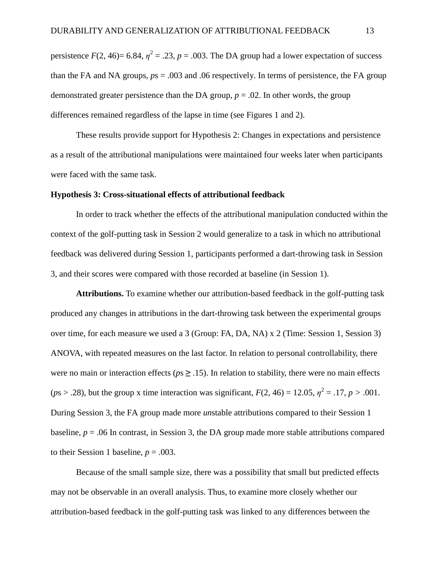persistence  $F(2, 46) = 6.84$ ,  $\eta^2 = .23$ ,  $p = .003$ . The DA group had a lower expectation of success than the FA and NA groups,  $ps = .003$  and  $.06$  respectively. In terms of persistence, the FA group demonstrated greater persistence than the DA group,  $p = .02$ . In other words, the group differences remained regardless of the lapse in time (see Figures 1 and 2).

These results provide support for Hypothesis 2: Changes in expectations and persistence as a result of the attributional manipulations were maintained four weeks later when participants were faced with the same task.

#### **Hypothesis 3: Cross-situational effects of attributional feedback**

In order to track whether the effects of the attributional manipulation conducted within the context of the golf-putting task in Session 2 would generalize to a task in which no attributional feedback was delivered during Session 1, participants performed a dart-throwing task in Session 3, and their scores were compared with those recorded at baseline (in Session 1).

**Attributions.** To examine whether our attribution-based feedback in the golf-putting task produced any changes in attributions in the dart-throwing task between the experimental groups over time, for each measure we used a 3 (Group: FA, DA, NA) x 2 (Time: Session 1, Session 3) ANOVA, with repeated measures on the last factor. In relation to personal controllability, there were no main or interaction effects ( $ps \geq 0.15$ ). In relation to stability, there were no main effects ( $p$ s > .28), but the group x time interaction was significant,  $F(2, 46) = 12.05$ ,  $\eta^2 = .17$ ,  $p > .001$ . During Session 3, the FA group made more *un*stable attributions compared to their Session 1 baseline,  $p = 0.06$  In contrast, in Session 3, the DA group made more stable attributions compared to their Session 1 baseline,  $p = .003$ .

Because of the small sample size, there was a possibility that small but predicted effects may not be observable in an overall analysis. Thus, to examine more closely whether our attribution-based feedback in the golf-putting task was linked to any differences between the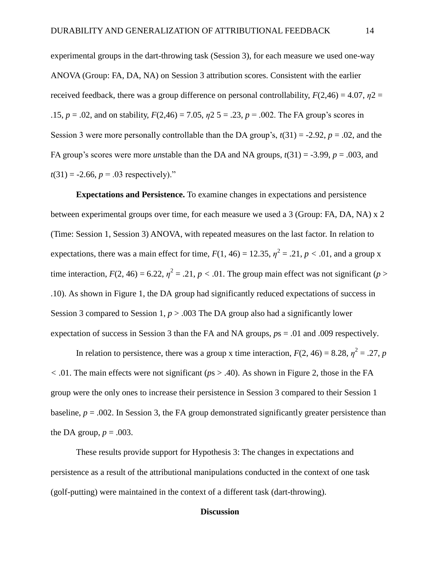experimental groups in the dart-throwing task (Session 3), for each measure we used one-way ANOVA (Group: FA, DA, NA) on Session 3 attribution scores. Consistent with the earlier received feedback, there was a group difference on personal controllability,  $F(2,46) = 4.07$ ,  $n2 =$ .15, *p* = .02, and on stability, *F*(2,46) = 7.05, *η*2 5 = .23, *p* = .002. The FA group's scores in Session 3 were more personally controllable than the DA group's,  $t(31) = -2.92$ ,  $p = .02$ , and the FA group's scores were more *unstable than the DA and NA groups,*  $t(31) = -3.99$ *,*  $p = .003$ *, and*  $t(31) = -2.66$ ,  $p = .03$  respectively)."

**Expectations and Persistence.** To examine changes in expectations and persistence between experimental groups over time, for each measure we used a 3 (Group: FA, DA, NA) x 2 (Time: Session 1, Session 3) ANOVA, with repeated measures on the last factor. In relation to expectations, there was a main effect for time,  $F(1, 46) = 12.35$ ,  $\eta^2 = .21$ ,  $p < .01$ , and a group x time interaction,  $F(2, 46) = 6.22$ ,  $\eta^2 = .21$ ,  $p < .01$ . The group main effect was not significant (*p* > .10). As shown in Figure 1, the DA group had significantly reduced expectations of success in Session 3 compared to Session 1,  $p > .003$  The DA group also had a significantly lower expectation of success in Session 3 than the FA and NA groups, *p*s = .01 and .009 respectively.

In relation to persistence, there was a group x time interaction,  $F(2, 46) = 8.28$ ,  $\eta^2 = .27$ , *p <* .01. The main effects were not significant (*p*s > .40). As shown in Figure 2, those in the FA group were the only ones to increase their persistence in Session 3 compared to their Session 1 baseline,  $p = .002$ . In Session 3, the FA group demonstrated significantly greater persistence than the DA group,  $p = .003$ .

These results provide support for Hypothesis 3: The changes in expectations and persistence as a result of the attributional manipulations conducted in the context of one task (golf-putting) were maintained in the context of a different task (dart-throwing).

## **Discussion**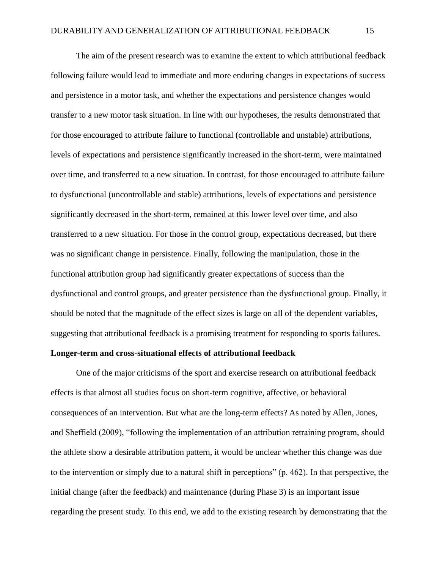The aim of the present research was to examine the extent to which attributional feedback following failure would lead to immediate and more enduring changes in expectations of success and persistence in a motor task, and whether the expectations and persistence changes would transfer to a new motor task situation. In line with our hypotheses, the results demonstrated that for those encouraged to attribute failure to functional (controllable and unstable) attributions, levels of expectations and persistence significantly increased in the short-term, were maintained over time, and transferred to a new situation. In contrast, for those encouraged to attribute failure to dysfunctional (uncontrollable and stable) attributions, levels of expectations and persistence significantly decreased in the short-term, remained at this lower level over time, and also transferred to a new situation. For those in the control group, expectations decreased, but there was no significant change in persistence. Finally, following the manipulation, those in the functional attribution group had significantly greater expectations of success than the dysfunctional and control groups, and greater persistence than the dysfunctional group. Finally, it should be noted that the magnitude of the effect sizes is large on all of the dependent variables, suggesting that attributional feedback is a promising treatment for responding to sports failures.

## **Longer-term and cross-situational effects of attributional feedback**

One of the major criticisms of the sport and exercise research on attributional feedback effects is that almost all studies focus on short-term cognitive, affective, or behavioral consequences of an intervention. But what are the long-term effects? As noted by Allen, Jones, and Sheffield (2009), "following the implementation of an attribution retraining program, should the athlete show a desirable attribution pattern, it would be unclear whether this change was due to the intervention or simply due to a natural shift in perceptions" (p. 462). In that perspective, the initial change (after the feedback) and maintenance (during Phase 3) is an important issue regarding the present study. To this end, we add to the existing research by demonstrating that the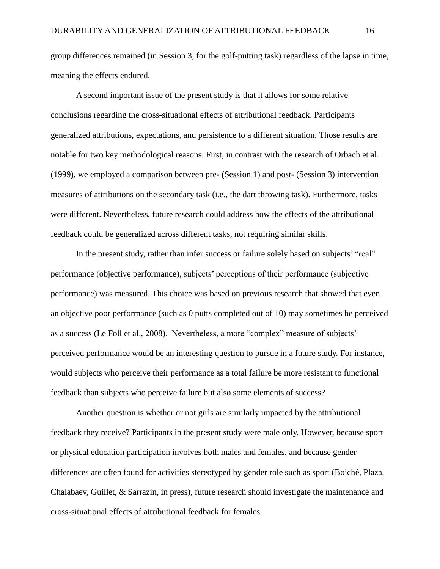group differences remained (in Session 3, for the golf-putting task) regardless of the lapse in time, meaning the effects endured.

A second important issue of the present study is that it allows for some relative conclusions regarding the cross-situational effects of attributional feedback. Participants generalized attributions, expectations, and persistence to a different situation. Those results are notable for two key methodological reasons. First, in contrast with the research of Orbach et al. (1999), we employed a comparison between pre- (Session 1) and post- (Session 3) intervention measures of attributions on the secondary task (i.e., the dart throwing task). Furthermore, tasks were different. Nevertheless, future research could address how the effects of the attributional feedback could be generalized across different tasks, not requiring similar skills.

In the present study, rather than infer success or failure solely based on subjects' "real" performance (objective performance), subjects' perceptions of their performance (subjective performance) was measured. This choice was based on previous research that showed that even an objective poor performance (such as 0 putts completed out of 10) may sometimes be perceived as a success (Le Foll et al., 2008). Nevertheless, a more "complex" measure of subjects' perceived performance would be an interesting question to pursue in a future study. For instance, would subjects who perceive their performance as a total failure be more resistant to functional feedback than subjects who perceive failure but also some elements of success?

Another question is whether or not girls are similarly impacted by the attributional feedback they receive? Participants in the present study were male only. However, because sport or physical education participation involves both males and females, and because gender differences are often found for activities stereotyped by gender role such as sport (Boiché, Plaza, Chalabaev, Guillet, & Sarrazin, in press), future research should investigate the maintenance and cross-situational effects of attributional feedback for females.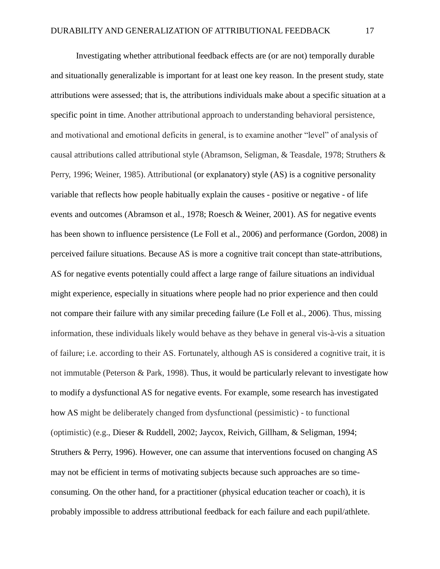Investigating whether attributional feedback effects are (or are not) temporally durable and situationally generalizable is important for at least one key reason. In the present study, state attributions were assessed; that is, the attributions individuals make about a specific situation at a specific point in time. Another attributional approach to understanding behavioral persistence, and motivational and emotional deficits in general, is to examine another "level" of analysis of causal attributions called attributional style (Abramson, Seligman, & Teasdale, 1978; Struthers & Perry, 1996; Weiner, 1985). Attributional (or explanatory) style (AS) is a cognitive personality variable that reflects how people habitually explain the causes - positive or negative - of life events and outcomes (Abramson et al., 1978; Roesch & Weiner, 2001). AS for negative events has been shown to influence persistence (Le Foll et al., 2006) and performance (Gordon, 2008) in perceived failure situations. Because AS is more a cognitive trait concept than state-attributions, AS for negative events potentially could affect a large range of failure situations an individual might experience, especially in situations where people had no prior experience and then could not compare their failure with any similar preceding failure (Le Foll et al., 2006). Thus, missing information, these individuals likely would behave as they behave in general vis-à-vis a situation of failure; i.e. according to their AS. Fortunately, although AS is considered a cognitive trait, it is not immutable (Peterson & Park, 1998). Thus, it would be particularly relevant to investigate how to modify a dysfunctional AS for negative events. For example, some research has investigated how AS might be deliberately changed from dysfunctional (pessimistic) - to functional (optimistic) (e.g., Dieser & Ruddell, 2002; Jaycox, Reivich, Gillham, & Seligman, 1994; Struthers & Perry, 1996). However, one can assume that interventions focused on changing AS may not be efficient in terms of motivating subjects because such approaches are so timeconsuming. On the other hand, for a practitioner (physical education teacher or coach), it is probably impossible to address attributional feedback for each failure and each pupil/athlete.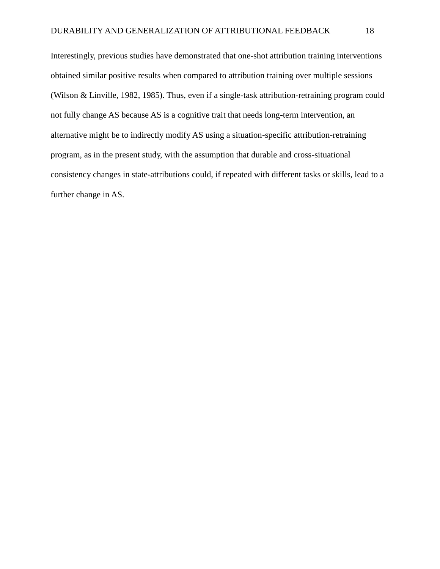Interestingly, previous studies have demonstrated that one-shot attribution training interventions obtained similar positive results when compared to attribution training over multiple sessions (Wilson & Linville, 1982, 1985). Thus, even if a single-task attribution-retraining program could not fully change AS because AS is a cognitive trait that needs long-term intervention, an alternative might be to indirectly modify AS using a situation-specific attribution-retraining program, as in the present study, with the assumption that durable and cross-situational consistency changes in state-attributions could, if repeated with different tasks or skills, lead to a further change in AS.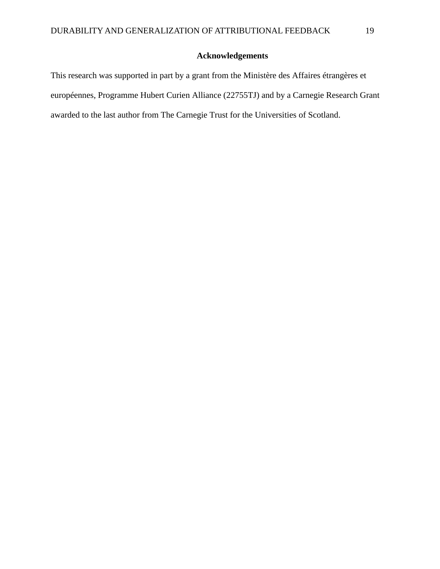## **Acknowledgements**

This research was supported in part by a grant from the Ministère des Affaires étrangères et européennes, Programme Hubert Curien Alliance (22755TJ) and by a Carnegie Research Grant awarded to the last author from The Carnegie Trust for the Universities of Scotland.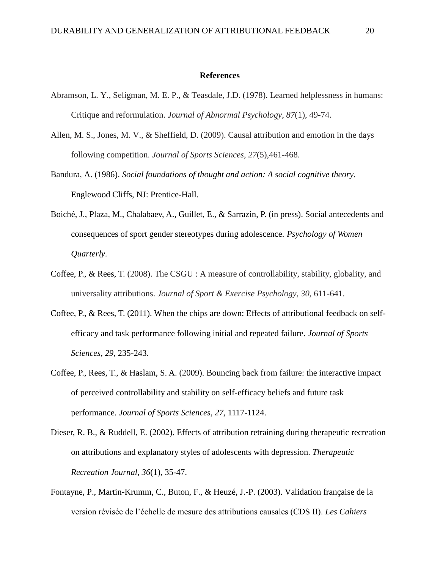#### **References**

- Abramson, L. Y., Seligman, M. E. P., & Teasdale, J.D. (1978). Learned helplessness in humans: Critique and reformulation. *Journal of Abnormal Psychology*, *87*(1), 49-74.
- Allen, M. S., Jones, M. V., & Sheffield, D. (2009). Causal attribution and emotion in the days following competition. *Journal of Sports Sciences*, *27*(5),461-468.
- Bandura, A. (1986). *Social foundations of thought and action: A social cognitive theory*. Englewood Cliffs, NJ: Prentice-Hall.
- Boiché, J., Plaza, M., Chalabaev, A., Guillet, E., & Sarrazin, P. (in press). Social antecedents and consequences of sport gender stereotypes during adolescence. *Psychology of Women Quarterly*.
- Coffee, P., & Rees, T. (2008). The CSGU : A measure of controllability, stability, globality, and universality attributions. *Journal of Sport & Exercise Psychology, 30,* 611-641.
- Coffee, P., & Rees, T. (2011). When the chips are down: Effects of attributional feedback on selfefficacy and task performance following initial and repeated failure. *Journal of Sports Sciences, 29,* 235-243.
- Coffee, P., Rees, T., & Haslam, S. A. (2009). Bouncing back from failure: the interactive impact of perceived controllability and stability on self-efficacy beliefs and future task performance. *Journal of Sports Sciences, 27,* 1117-1124.
- Dieser, R. B., & Ruddell, E. (2002). Effects of attribution retraining during therapeutic recreation on attributions and explanatory styles of adolescents with depression. *Therapeutic Recreation Journal, 36*(1), 35-47.
- Fontayne, P., Martin-Krumm, C., Buton, F., & Heuzé, J.-P. (2003). Validation française de la version révisée de l'échelle de mesure des attributions causales (CDS II). *Les Cahiers*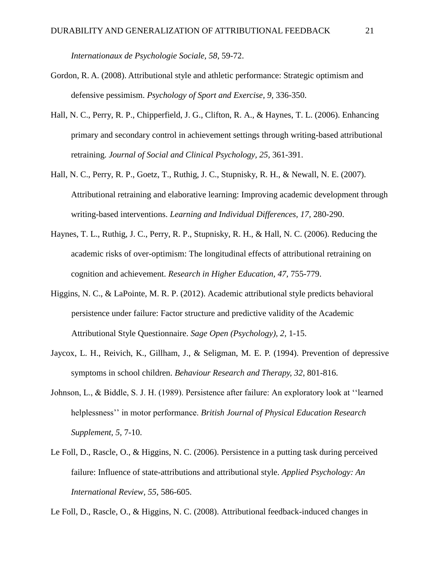*Internationaux de Psychologie Sociale, 58*, 59-72.

- Gordon, R. A. (2008). Attributional style and athletic performance: Strategic optimism and defensive pessimism. *Psychology of Sport and Exercise, 9,* 336-350.
- Hall, N. C., Perry, R. P., Chipperfield, J. G., Clifton, R. A., & Haynes, T. L. (2006). Enhancing primary and secondary control in achievement settings through writing-based attributional retraining. *Journal of Social and Clinical Psychology, 25,* 361-391.
- Hall, N. C., Perry, R. P., Goetz, T., Ruthig, J. C., Stupnisky, R. H., & Newall, N. E. (2007). Attributional retraining and elaborative learning: Improving academic development through writing-based interventions. *Learning and Individual Differences, 17,* 280-290.
- Haynes, T. L., Ruthig, J. C., Perry, R. P., Stupnisky, R. H., & Hall, N. C. (2006). Reducing the academic risks of over-optimism: The longitudinal effects of attributional retraining on cognition and achievement. *Research in Higher Education, 47,* 755-779.
- Higgins, N. C., & LaPointe, M. R. P. (2012). Academic attributional style predicts behavioral persistence under failure: Factor structure and predictive validity of the Academic Attributional Style Questionnaire. *Sage Open (Psychology), 2,* 1-15.
- Jaycox, L. H., Reivich, K., Gillham, J., & Seligman, M. E. P. (1994). Prevention of depressive symptoms in school children. *Behaviour Research and Therapy, 32*, 801-816.
- Johnson, L., & Biddle, S. J. H. (1989). Persistence after failure: An exploratory look at ''learned helplessness'' in motor performance. *British Journal of Physical Education Research Supplement, 5,* 7-10.
- Le Foll, D., Rascle, O., & Higgins, N. C. (2006). Persistence in a putting task during perceived failure: Influence of state-attributions and attributional style. *Applied Psychology: An International Review, 55*, 586-605.

Le Foll, D., Rascle, O., & Higgins, N. C. (2008). Attributional feedback-induced changes in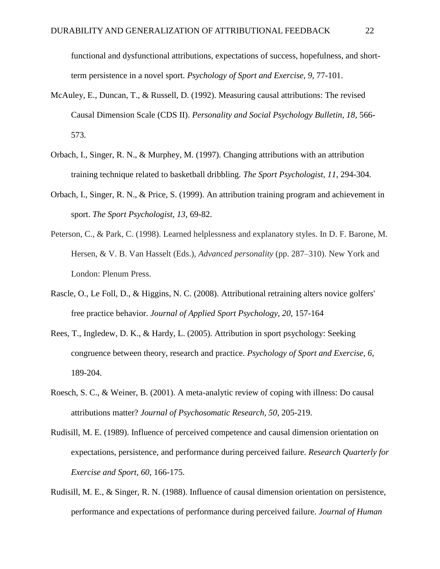functional and dysfunctional attributions, expectations of success, hopefulness, and shortterm persistence in a novel sport. *Psychology of Sport and Exercise, 9,* 77-101.

- McAuley, E., Duncan, T., & Russell, D. (1992). Measuring causal attributions: The revised Causal Dimension Scale (CDS II). *Personality and Social Psychology Bulletin, 18*, 566- 573.
- Orbach, I., Singer, R. N., & Murphey, M. (1997). Changing attributions with an attribution training technique related to basketball dribbling. *The Sport Psychologist, 11*, 294-304.
- Orbach, I., Singer, R. N., & Price, S. (1999). An attribution training program and achievement in sport. *The Sport Psychologist, 13*, 69-82.
- Peterson, C., & Park, C. (1998). Learned helplessness and explanatory styles. In D. F. Barone, M. Hersen, & V. B. Van Hasselt (Eds.), *Advanced personality* (pp. 287–310). New York and London: Plenum Press.
- Rascle, O., Le Foll, D., & Higgins, N. C. (2008). Attributional retraining alters novice golfers' free practice behavior. *Journal of Applied Sport Psychology, 20,* 157-164
- Rees, T., Ingledew, D. K., & Hardy, L. (2005). Attribution in sport psychology: Seeking congruence between theory, research and practice. *Psychology of Sport and Exercise, 6*, 189-204.
- Roesch, S. C., & Weiner, B. (2001). A meta-analytic review of coping with illness: Do causal attributions matter? *Journal of Psychosomatic Research, 50*, 205-219.
- Rudisill, M. E. (1989). Influence of perceived competence and causal dimension orientation on expectations, persistence, and performance during perceived failure. *Research Quarterly for Exercise and Sport, 60*, 166-175.
- Rudisill, M. E., & Singer, R. N. (1988). Influence of causal dimension orientation on persistence, performance and expectations of performance during perceived failure. *Journal of Human*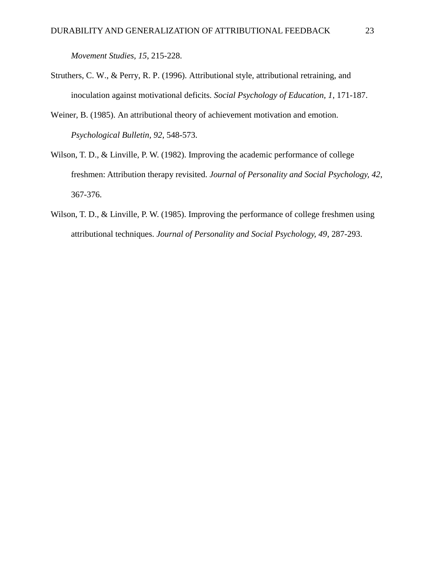*Movement Studies, 15*, 215-228.

- Struthers, C. W., & Perry, R. P. (1996). Attributional style, attributional retraining, and inoculation against motivational deficits. *Social Psychology of Education, 1*, 171-187.
- Weiner, B. (1985). An attributional theory of achievement motivation and emotion. *Psychological Bulletin, 92*, 548-573.
- Wilson, T. D., & Linville, P. W. (1982). Improving the academic performance of college freshmen: Attribution therapy revisited. *Journal of Personality and Social Psychology, 42*, 367-376.
- Wilson, T. D., & Linville, P. W. (1985). Improving the performance of college freshmen using attributional techniques. *Journal of Personality and Social Psychology, 49*, 287-293.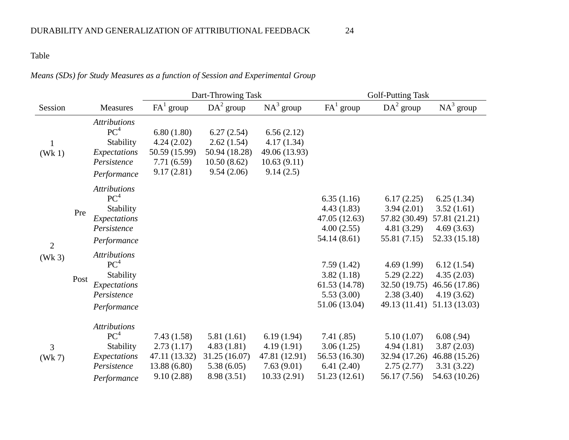## Table

# *Means (SDs) for Study Measures as a function of Session and Experimental Group*

|                          |      |                                                                                                   | Dart-Throwing Task                                                      |                                                                        |                                                                        | <b>Golf-Putting Task</b>                                                 |                                                                          |                                                                          |
|--------------------------|------|---------------------------------------------------------------------------------------------------|-------------------------------------------------------------------------|------------------------------------------------------------------------|------------------------------------------------------------------------|--------------------------------------------------------------------------|--------------------------------------------------------------------------|--------------------------------------------------------------------------|
| Session                  |      | Measures                                                                                          | $FA^1$ group                                                            | $DA2$ group                                                            | $NA^3$ group                                                           | $FA^1$ group                                                             | $DA2$ group                                                              | $NA^3$ group                                                             |
| $\mathbf{1}$<br>(Wk 1)   |      | <b>Attributions</b><br>PC <sup>4</sup><br>Stability<br>Expectations<br>Persistence<br>Performance | 6.80(1.80)<br>4.24(2.02)<br>50.59 (15.99)<br>7.71 (6.59)<br>9.17(2.81)  | 6.27(2.54)<br>2.62(1.54)<br>50.94 (18.28)<br>10.50(8.62)<br>9.54(2.06) | 6.56(2.12)<br>4.17(1.34)<br>49.06 (13.93)<br>10.63(9.11)<br>9.14(2.5)  |                                                                          |                                                                          |                                                                          |
| $\overline{2}$<br>(Wk 3) | Pre  | <b>Attributions</b><br>PC <sup>4</sup><br>Stability<br>Expectations<br>Persistence<br>Performance |                                                                         |                                                                        |                                                                        | 6.35(1.16)<br>4.43(1.83)<br>47.05 (12.63)<br>4.00(2.55)<br>54.14 (8.61)  | 6.17(2.25)<br>3.94(2.01)<br>57.82 (30.49)<br>4.81(3.29)<br>55.81 (7.15)  | 6.25(1.34)<br>3.52(1.61)<br>57.81 (21.21)<br>4.69(3.63)<br>52.33 (15.18) |
|                          | Post | <b>Attributions</b><br>PC <sup>4</sup><br>Stability<br>Expectations<br>Persistence<br>Performance |                                                                         |                                                                        |                                                                        | 7.59(1.42)<br>3.82(1.18)<br>61.53 (14.78)<br>5.53(3.00)<br>51.06 (13.04) | 4.69(1.99)<br>5.29(2.22)<br>32.50 (19.75)<br>2.38(3.40)<br>49.13 (11.41) | 6.12(1.54)<br>4.35(2.03)<br>46.56 (17.86)<br>4.19(3.62)<br>51.13 (13.03) |
| 3<br>(Wk 7)              |      | <b>Attributions</b><br>PC <sup>4</sup><br>Stability<br>Expectations<br>Persistence<br>Performance | 7.43(1.58)<br>2.73(1.17)<br>47.11 (13.32)<br>13.88 (6.80)<br>9.10(2.88) | 5.81(1.61)<br>4.83(1.81)<br>31.25 (16.07)<br>5.38(6.05)<br>8.98 (3.51) | 6.19(1.94)<br>4.19(1.91)<br>47.81 (12.91)<br>7.63(9.01)<br>10.33(2.91) | 7.41(.85)<br>3.06(1.25)<br>56.53 (16.30)<br>6.41(2.40)<br>51.23 (12.61)  | 5.10(1.07)<br>4.94(1.81)<br>32.94 (17.26)<br>2.75(2.77)<br>56.17 (7.56)  | 6.08(.94)<br>3.87(2.03)<br>46.88 (15.26)<br>3.31(3.22)<br>54.63 (10.26)  |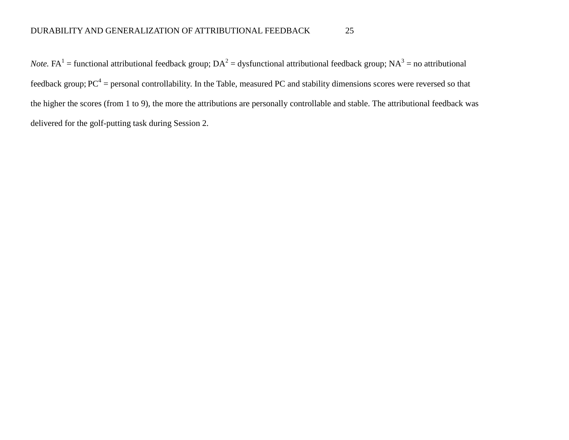*Note*. FA<sup>1</sup> = functional attributional feedback group;  $DA^2$  = dysfunctional attributional feedback group;  $NA^3$  = no attributional feedback group;  $PC^4$  = personal controllability. In the Table, measured PC and stability dimensions scores were reversed so that the higher the scores (from 1 to 9), the more the attributions are personally controllable and stable. The attributional feedback was delivered for the golf-putting task during Session 2.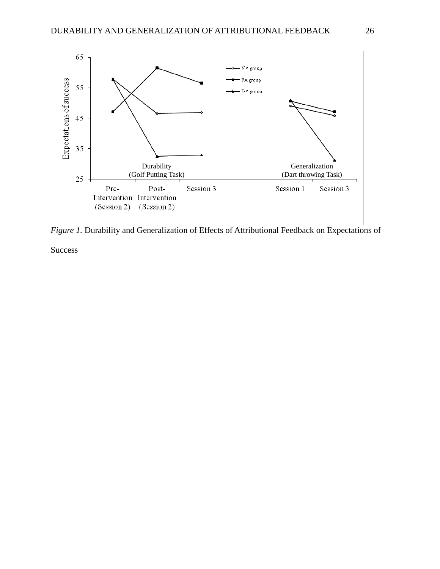

*Figure 1.* Durability and Generalization of Effects of Attributional Feedback on Expectations of

**Success**